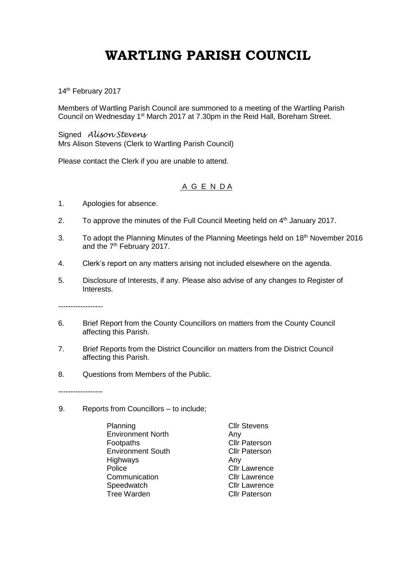## **WARTLING PARISH COUNCIL**

14<sup>th</sup> February 2017

Members of Wartling Parish Council are summoned to a meeting of the Wartling Parish Council on Wednesday 1st March 2017 at 7.30pm in the Reid Hall, Boreham Street.

Signed *Alison Stevens* Mrs Alison Stevens (Clerk to Wartling Parish Council)

Please contact the Clerk if you are unable to attend.

## A G E N D A

- 1. Apologies for absence.
- 2. To approve the minutes of the Full Council Meeting held on  $4<sup>th</sup>$  January 2017.
- 3. To adopt the Planning Minutes of the Planning Meetings held on 18<sup>th</sup> November 2016 and the 7<sup>th</sup> February 2017.
- 4. Clerk's report on any matters arising not included elsewhere on the agenda.
- 5. Disclosure of Interests, if any. Please also advise of any changes to Register of Interests.

------------------

- 6. Brief Report from the County Councillors on matters from the County Council affecting this Parish.
- 7. Brief Reports from the District Councillor on matters from the District Council affecting this Parish.
- 8. Questions from Members of the Public.

------------------

- 9. Reports from Councillors to include;
	- Planning **Cllr** Stevens Environment North Any Footpaths **Cllr Paterson** Environment South Cllr Paterson Highways Any Any<br>Police Cliri Communication Cllr Lawrence Speedwatch Cllr Lawrence Tree Warden Cllr Paterson

Cllr Lawrence